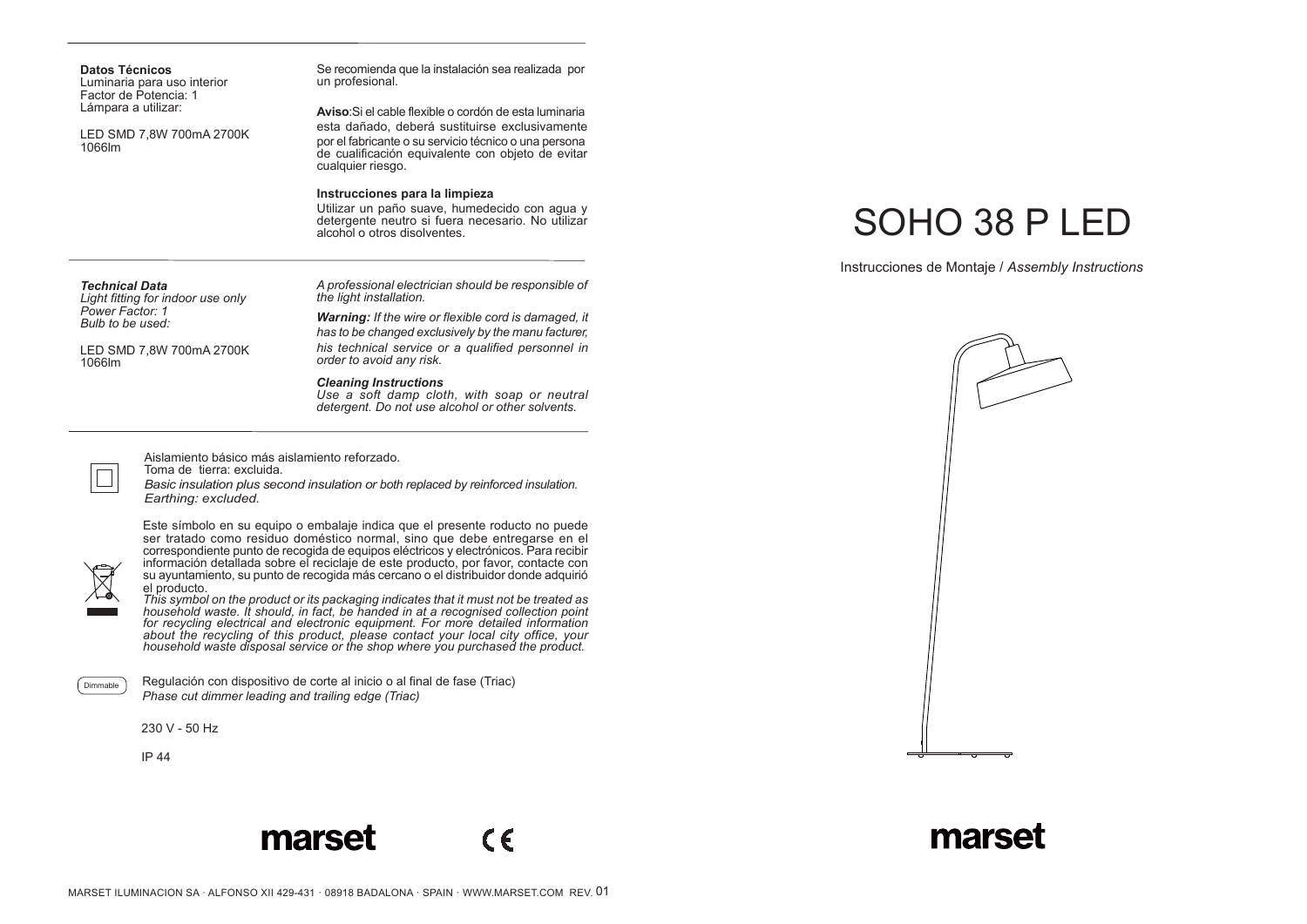| Luminaria para uso interior<br>Factor de Potencia: 1<br>Lámpara a utilizar:<br>LED SMD 7.8W 700mA 2700K<br>1066lm | un profesional.                                                                                                                                                                                                                             |
|-------------------------------------------------------------------------------------------------------------------|---------------------------------------------------------------------------------------------------------------------------------------------------------------------------------------------------------------------------------------------|
|                                                                                                                   | Aviso: Si el cable flexible o cordón de esta luminaria<br>esta dañado, deberá sustituirse exclusivamente<br>por el fabricante o su servicio técnico o una persona<br>de cualificación equivalente con objeto de evitar<br>cualquier riesgo. |
|                                                                                                                   | Instrucciones para la limpieza<br>Utilizar un paño suave, humedecido con aqua y<br>detergente neutro si fuera necesario. No utilizar<br>alcohol o otros disolventes.                                                                        |
| <b>Technical Data</b><br>Light fitting for indoor use only                                                        | A professional electrician should be responsible of<br>the light installation.                                                                                                                                                              |

*Power Factor: 1 Bulb to be used:*

LED SMD 7,8W 700mA 2700K 1066lm

**Datos Técnicos**

Se recomienda que la instalación sea realizada por

*Warning: If the wire or flexible cord is damaged, it has to be changed exclusively by the manu facturer, his technical service or a qualified personnel in order to avoid any risk.*

*Cleaning Instructions*

*Use a soft damp cloth, with soap or neutral detergent. Do not use alcohol or other solvents.*

Aislamiento básico más aislamiento reforzado.

Toma de tierra: excluida.

*Basic insulation plus second insulation or both replaced by reinforced insulation. Earthing: excluded.*



Este símbolo en su equipo o embalaje indica que el presente roducto no puede ser tratado como residuo doméstico normal, sino que debe entregarse en el correspondiente punto de recogida de equipos eléctricos y electrónicos. Para recibir información detallada sobre el reciclaje de este producto, por favor, contacte con su ayuntamiento, su punto de recogida más cercano o el distribuidor donde adquirió el producto.

*This symbol on the product or its packaging indicates that it must not be treated as household waste. It should, in fact, be handed in at a recognised collection point for recycling electrical and electronic equipment. For more detailed information about the recycling of this product, please contact your local city office, your household waste disposal service or the shop where you purchased the product.*

Dimmable

Regulación con dispositivo de corte al inicio o al final de fase (Triac) *Phase cut dimmer leading and trailing edge (Triac)*

230 V - 50 Hz

IP 44





## SOHO 38 P LED

Instrucciones de Montaje / *Assembly Instructions*